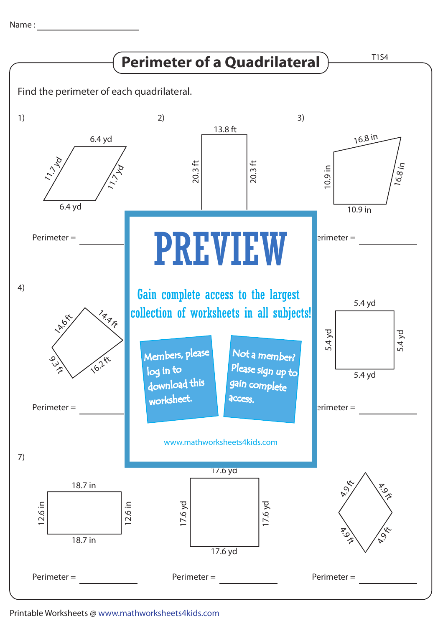Name : with the state of  $\sim$ 



## Printable Worksheets @ www.mathworksheets4kids.com